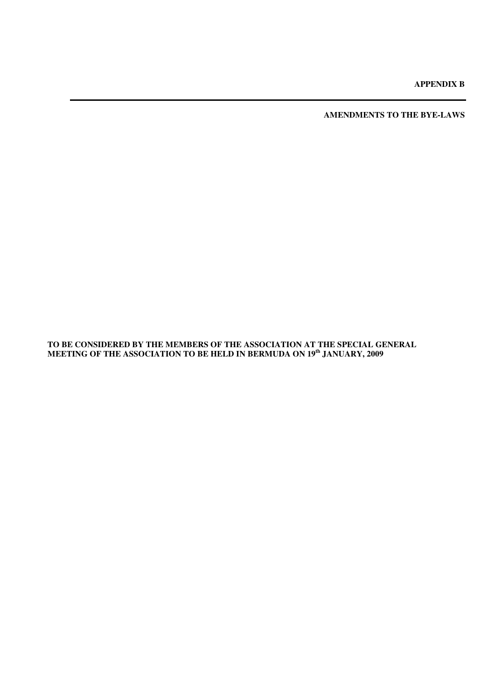**APPENDIX B** 

**AMENDMENTS TO THE BYE-LAWS** 

**TO BE CONSIDERED BY THE MEMBERS OF THE ASSOCIATION AT THE SPECIAL GENERAL MEETING OF THE ASSOCIATION TO BE HELD IN BERMUDA ON 19th JANUARY, 2009**